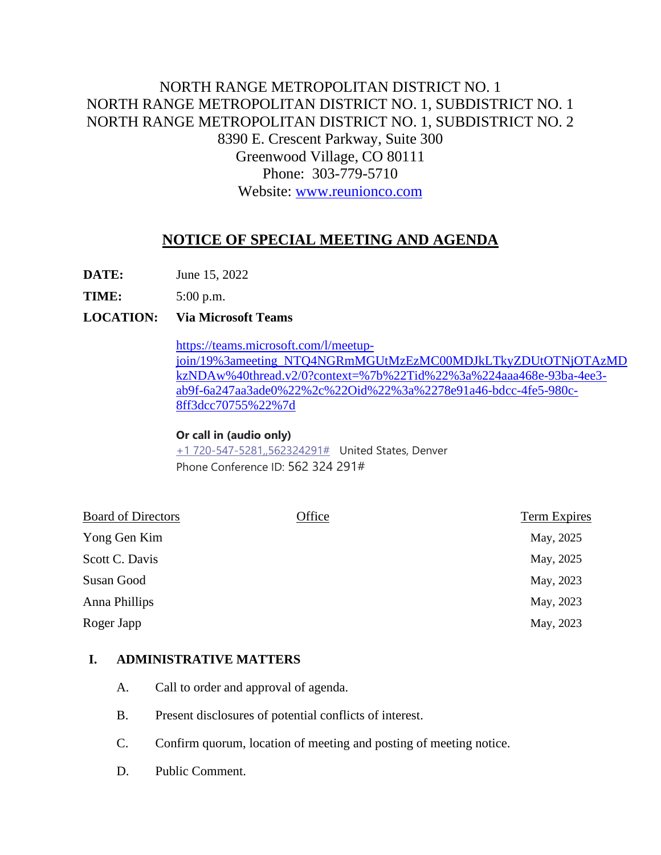# NORTH RANGE METROPOLITAN DISTRICT NO. 1 NORTH RANGE METROPOLITAN DISTRICT NO. 1, SUBDISTRICT NO. 1 NORTH RANGE METROPOLITAN DISTRICT NO. 1, SUBDISTRICT NO. 2 8390 E. Crescent Parkway, Suite 300 Greenwood Village, CO 80111 Phone: 303-779-5710 Website: [www.reunionco.com](http://www.reunionco.com/)

# **NOTICE OF SPECIAL MEETING AND AGENDA**

**DATE:** June 15, 2022

**TIME:** 5:00 p.m.

## **LOCATION: Via Microsoft Teams**

[https://teams.microsoft.com/l/meetup](https://teams.microsoft.com/l/meetup-join/19%3ameeting_NTQ4NGRmMGUtMzEzMC00MDJkLTkyZDUtOTNjOTAzMDkzNDAw%40thread.v2/0?context=%7b%22Tid%22%3a%224aaa468e-93ba-4ee3-ab9f-6a247aa3ade0%22%2c%22Oid%22%3a%2278e91a46-bdcc-4fe5-980c-8ff3dcc70755%22%7d)[join/19%3ameeting\\_NTQ4NGRmMGUtMzEzMC00MDJkLTkyZDUtOTNjOTAzMD](https://teams.microsoft.com/l/meetup-join/19%3ameeting_NTQ4NGRmMGUtMzEzMC00MDJkLTkyZDUtOTNjOTAzMDkzNDAw%40thread.v2/0?context=%7b%22Tid%22%3a%224aaa468e-93ba-4ee3-ab9f-6a247aa3ade0%22%2c%22Oid%22%3a%2278e91a46-bdcc-4fe5-980c-8ff3dcc70755%22%7d) [kzNDAw%40thread.v2/0?context=%7b%22Tid%22%3a%224aaa468e-93ba-4ee3](https://teams.microsoft.com/l/meetup-join/19%3ameeting_NTQ4NGRmMGUtMzEzMC00MDJkLTkyZDUtOTNjOTAzMDkzNDAw%40thread.v2/0?context=%7b%22Tid%22%3a%224aaa468e-93ba-4ee3-ab9f-6a247aa3ade0%22%2c%22Oid%22%3a%2278e91a46-bdcc-4fe5-980c-8ff3dcc70755%22%7d) [ab9f-6a247aa3ade0%22%2c%22Oid%22%3a%2278e91a46-bdcc-4fe5-980c-](https://teams.microsoft.com/l/meetup-join/19%3ameeting_NTQ4NGRmMGUtMzEzMC00MDJkLTkyZDUtOTNjOTAzMDkzNDAw%40thread.v2/0?context=%7b%22Tid%22%3a%224aaa468e-93ba-4ee3-ab9f-6a247aa3ade0%22%2c%22Oid%22%3a%2278e91a46-bdcc-4fe5-980c-8ff3dcc70755%22%7d)[8ff3dcc70755%22%7d](https://teams.microsoft.com/l/meetup-join/19%3ameeting_NTQ4NGRmMGUtMzEzMC00MDJkLTkyZDUtOTNjOTAzMDkzNDAw%40thread.v2/0?context=%7b%22Tid%22%3a%224aaa468e-93ba-4ee3-ab9f-6a247aa3ade0%22%2c%22Oid%22%3a%2278e91a46-bdcc-4fe5-980c-8ff3dcc70755%22%7d)

### **Or call in (audio only)**

[+1 720-547-5281,,562324291#](tel:+17205475281,,562324291#%20) United States, Denver Phone Conference ID: 562 324 291#

| <b>Board of Directors</b> | Office | Term Expires |
|---------------------------|--------|--------------|
| Yong Gen Kim              |        | May, 2025    |
| Scott C. Davis            |        | May, 2025    |
| Susan Good                |        | May, 2023    |
| Anna Phillips             |        | May, 2023    |
| Roger Japp                |        | May, 2023    |

### **I. ADMINISTRATIVE MATTERS**

- A. Call to order and approval of agenda.
- B. Present disclosures of potential conflicts of interest.
- C. Confirm quorum, location of meeting and posting of meeting notice.
- D. Public Comment.